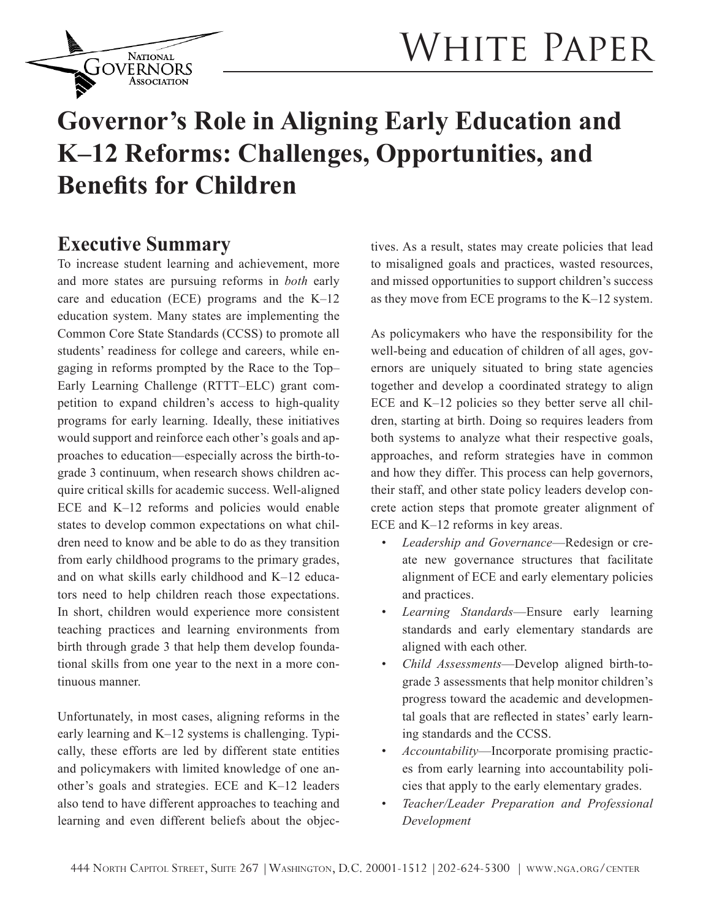

# WHITE PAPER

# **Governor's Role in Aligning Early Education and K–12 Reforms: Challenges, Opportunities, and Benefits for Children**

## **Executive Summary**

To increase student learning and achievement, more and more states are pursuing reforms in *both* early care and education (ECE) programs and the K–12 education system. Many states are implementing the Common Core State Standards (CCSS) to promote all students' readiness for college and careers, while engaging in reforms prompted by the Race to the Top– Early Learning Challenge (RTTT–ELC) grant competition to expand children's access to high-quality programs for early learning. Ideally, these initiatives would support and reinforce each other's goals and approaches to education—especially across the birth-tograde 3 continuum, when research shows children acquire critical skills for academic success. Well-aligned ECE and K–12 reforms and policies would enable states to develop common expectations on what children need to know and be able to do as they transition from early childhood programs to the primary grades, and on what skills early childhood and K–12 educators need to help children reach those expectations. In short, children would experience more consistent teaching practices and learning environments from birth through grade 3 that help them develop foundational skills from one year to the next in a more continuous manner.

Unfortunately, in most cases, aligning reforms in the early learning and K–12 systems is challenging. Typically, these efforts are led by different state entities and policymakers with limited knowledge of one another's goals and strategies. ECE and K–12 leaders also tend to have different approaches to teaching and learning and even different beliefs about the objec-

tives. As a result, states may create policies that lead to misaligned goals and practices, wasted resources, and missed opportunities to support children's success as they move from ECE programs to the K–12 system.

As policymakers who have the responsibility for the well-being and education of children of all ages, governors are uniquely situated to bring state agencies together and develop a coordinated strategy to align ECE and K–12 policies so they better serve all children, starting at birth. Doing so requires leaders from both systems to analyze what their respective goals, approaches, and reform strategies have in common and how they differ. This process can help governors, their staff, and other state policy leaders develop concrete action steps that promote greater alignment of ECE and K–12 reforms in key areas.

- Leadership and Governance—Redesign or create new governance structures that facilitate alignment of ECE and early elementary policies and practices.
- *• Learning Standards*—Ensure early learning standards and early elementary standards are aligned with each other.
- *• Child Assessments*—Develop aligned birth-tograde 3 assessments that help monitor children's progress toward the academic and developmental goals that are reflected in states' early learning standards and the CCSS.
- *• Accountability*—Incorporate promising practices from early learning into accountability policies that apply to the early elementary grades.
- *• Teacher/Leader Preparation and Professional Development*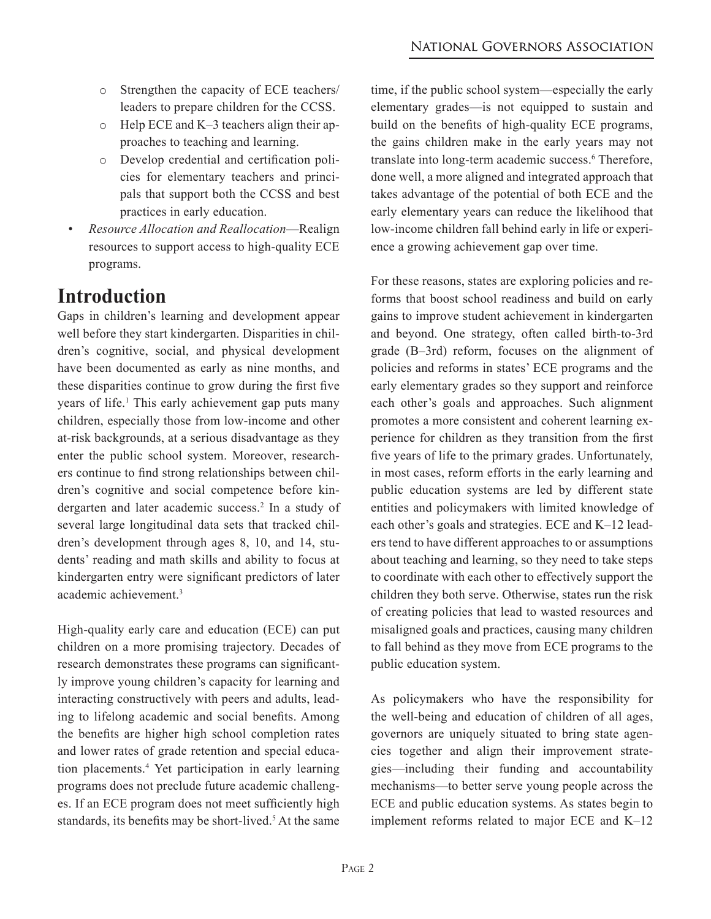- o Strengthen the capacity of ECE teachers/ leaders to prepare children for the CCSS.
- o Help ECE and K–3 teachers align their approaches to teaching and learning.
- o Develop credential and certification policies for elementary teachers and principals that support both the CCSS and best practices in early education.
- *• Resource Allocation and Reallocation*—Realign resources to support access to high-quality ECE programs.

# **Introduction**

Gaps in children's learning and development appear well before they start kindergarten. Disparities in children's cognitive, social, and physical development have been documented as early as nine months, and these disparities continue to grow during the first five years of life.<sup>1</sup> This early achievement gap puts many children, especially those from low-income and other at-risk backgrounds, at a serious disadvantage as they enter the public school system. Moreover, researchers continue to find strong relationships between children's cognitive and social competence before kindergarten and later academic success.<sup>2</sup> In a study of several large longitudinal data sets that tracked children's development through ages 8, 10, and 14, students' reading and math skills and ability to focus at kindergarten entry were significant predictors of later academic achievement.3

High-quality early care and education (ECE) can put children on a more promising trajectory. Decades of research demonstrates these programs can significantly improve young children's capacity for learning and interacting constructively with peers and adults, leading to lifelong academic and social benefits. Among the benefits are higher high school completion rates and lower rates of grade retention and special education placements.4 Yet participation in early learning programs does not preclude future academic challenges. If an ECE program does not meet sufficiently high standards, its benefits may be short-lived.<sup>5</sup> At the same

time, if the public school system—especially the early elementary grades—is not equipped to sustain and build on the benefits of high-quality ECE programs, the gains children make in the early years may not translate into long-term academic success.<sup>6</sup> Therefore, done well, a more aligned and integrated approach that takes advantage of the potential of both ECE and the early elementary years can reduce the likelihood that low-income children fall behind early in life or experience a growing achievement gap over time.

For these reasons, states are exploring policies and reforms that boost school readiness and build on early gains to improve student achievement in kindergarten and beyond. One strategy, often called birth-to-3rd grade (B–3rd) reform, focuses on the alignment of policies and reforms in states' ECE programs and the early elementary grades so they support and reinforce each other's goals and approaches. Such alignment promotes a more consistent and coherent learning experience for children as they transition from the first five years of life to the primary grades. Unfortunately, in most cases, reform efforts in the early learning and public education systems are led by different state entities and policymakers with limited knowledge of each other's goals and strategies. ECE and K–12 leaders tend to have different approaches to or assumptions about teaching and learning, so they need to take steps to coordinate with each other to effectively support the children they both serve. Otherwise, states run the risk of creating policies that lead to wasted resources and misaligned goals and practices, causing many children to fall behind as they move from ECE programs to the public education system.

As policymakers who have the responsibility for the well-being and education of children of all ages, governors are uniquely situated to bring state agencies together and align their improvement strategies—including their funding and accountability mechanisms—to better serve young people across the ECE and public education systems. As states begin to implement reforms related to major ECE and K–12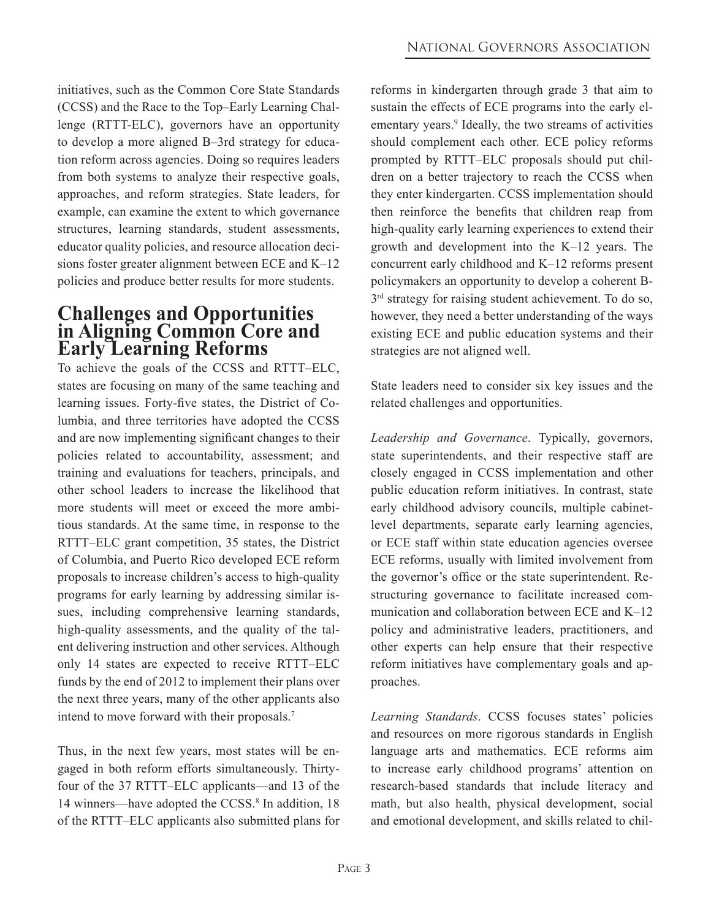initiatives, such as the Common Core State Standards (CCSS) and the Race to the Top–Early Learning Challenge (RTTT-ELC), governors have an opportunity to develop a more aligned B–3rd strategy for education reform across agencies. Doing so requires leaders from both systems to analyze their respective goals, approaches, and reform strategies. State leaders, for example, can examine the extent to which governance structures, learning standards, student assessments, educator quality policies, and resource allocation decisions foster greater alignment between ECE and K–12 policies and produce better results for more students.

#### **Challenges and Opportunities in Aligning Common Core and Early Learning Reforms**

To achieve the goals of the CCSS and RTTT–ELC, states are focusing on many of the same teaching and learning issues. Forty-five states, the District of Columbia, and three territories have adopted the CCSS and are now implementing significant changes to their policies related to accountability, assessment; and training and evaluations for teachers, principals, and other school leaders to increase the likelihood that more students will meet or exceed the more ambitious standards. At the same time, in response to the RTTT–ELC grant competition, 35 states, the District of Columbia, and Puerto Rico developed ECE reform proposals to increase children's access to high-quality programs for early learning by addressing similar issues, including comprehensive learning standards, high-quality assessments, and the quality of the talent delivering instruction and other services. Although only 14 states are expected to receive RTTT–ELC funds by the end of 2012 to implement their plans over the next three years, many of the other applicants also intend to move forward with their proposals.7

Thus, in the next few years, most states will be engaged in both reform efforts simultaneously. Thirtyfour of the 37 RTTT–ELC applicants—and 13 of the 14 winners—have adopted the CCSS.<sup>8</sup> In addition, 18 of the RTTT–ELC applicants also submitted plans for

reforms in kindergarten through grade 3 that aim to sustain the effects of ECE programs into the early elementary years.<sup>9</sup> Ideally, the two streams of activities should complement each other. ECE policy reforms prompted by RTTT–ELC proposals should put children on a better trajectory to reach the CCSS when they enter kindergarten. CCSS implementation should then reinforce the benefits that children reap from high-quality early learning experiences to extend their growth and development into the K–12 years. The concurrent early childhood and K–12 reforms present policymakers an opportunity to develop a coherent B- $3<sup>rd</sup>$  strategy for raising student achievement. To do so, however, they need a better understanding of the ways existing ECE and public education systems and their strategies are not aligned well.

State leaders need to consider six key issues and the related challenges and opportunities.

*Leadership and Governance*. Typically, governors, state superintendents, and their respective staff are closely engaged in CCSS implementation and other public education reform initiatives. In contrast, state early childhood advisory councils, multiple cabinetlevel departments, separate early learning agencies, or ECE staff within state education agencies oversee ECE reforms, usually with limited involvement from the governor's office or the state superintendent. Restructuring governance to facilitate increased communication and collaboration between ECE and K–12 policy and administrative leaders, practitioners, and other experts can help ensure that their respective reform initiatives have complementary goals and approaches.

*Learning Standards*. CCSS focuses states' policies and resources on more rigorous standards in English language arts and mathematics. ECE reforms aim to increase early childhood programs' attention on research-based standards that include literacy and math, but also health, physical development, social and emotional development, and skills related to chil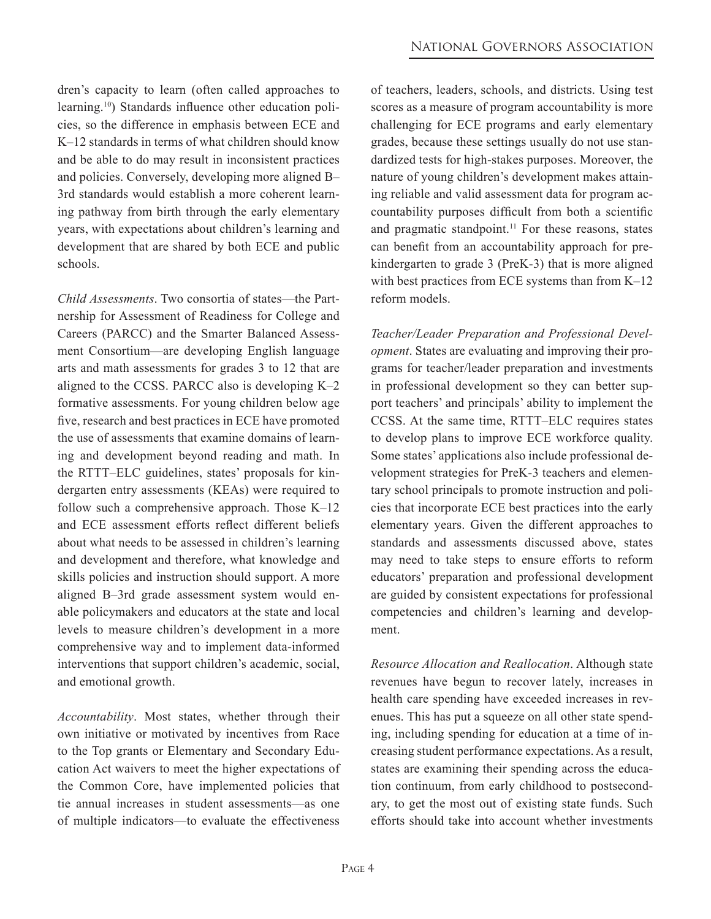dren's capacity to learn (often called approaches to learning.10) Standards influence other education policies, so the difference in emphasis between ECE and K–12 standards in terms of what children should know and be able to do may result in inconsistent practices and policies. Conversely, developing more aligned B– 3rd standards would establish a more coherent learning pathway from birth through the early elementary years, with expectations about children's learning and development that are shared by both ECE and public schools.

*Child Assessments*. Two consortia of states—the Partnership for Assessment of Readiness for College and Careers (PARCC) and the Smarter Balanced Assessment Consortium—are developing English language arts and math assessments for grades 3 to 12 that are aligned to the CCSS. PARCC also is developing K–2 formative assessments. For young children below age five, research and best practices in ECE have promoted the use of assessments that examine domains of learning and development beyond reading and math. In the RTTT–ELC guidelines, states' proposals for kindergarten entry assessments (KEAs) were required to follow such a comprehensive approach. Those K–12 and ECE assessment efforts reflect different beliefs about what needs to be assessed in children's learning and development and therefore, what knowledge and skills policies and instruction should support. A more aligned B–3rd grade assessment system would enable policymakers and educators at the state and local levels to measure children's development in a more comprehensive way and to implement data-informed interventions that support children's academic, social, and emotional growth.

*Accountability*. Most states, whether through their own initiative or motivated by incentives from Race to the Top grants or Elementary and Secondary Education Act waivers to meet the higher expectations of the Common Core, have implemented policies that tie annual increases in student assessments—as one of multiple indicators—to evaluate the effectiveness

of teachers, leaders, schools, and districts. Using test scores as a measure of program accountability is more challenging for ECE programs and early elementary grades, because these settings usually do not use standardized tests for high-stakes purposes. Moreover, the nature of young children's development makes attaining reliable and valid assessment data for program accountability purposes difficult from both a scientific and pragmatic standpoint.<sup>11</sup> For these reasons, states can benefit from an accountability approach for prekindergarten to grade 3 (PreK-3) that is more aligned with best practices from ECE systems than from K–12 reform models.

*Teacher/Leader Preparation and Professional Development*. States are evaluating and improving their programs for teacher/leader preparation and investments in professional development so they can better support teachers' and principals' ability to implement the CCSS. At the same time, RTTT–ELC requires states to develop plans to improve ECE workforce quality. Some states' applications also include professional development strategies for PreK-3 teachers and elementary school principals to promote instruction and policies that incorporate ECE best practices into the early elementary years. Given the different approaches to standards and assessments discussed above, states may need to take steps to ensure efforts to reform educators' preparation and professional development are guided by consistent expectations for professional competencies and children's learning and development.

*Resource Allocation and Reallocation*. Although state revenues have begun to recover lately, increases in health care spending have exceeded increases in revenues. This has put a squeeze on all other state spending, including spending for education at a time of increasing student performance expectations. As a result, states are examining their spending across the education continuum, from early childhood to postsecondary, to get the most out of existing state funds. Such efforts should take into account whether investments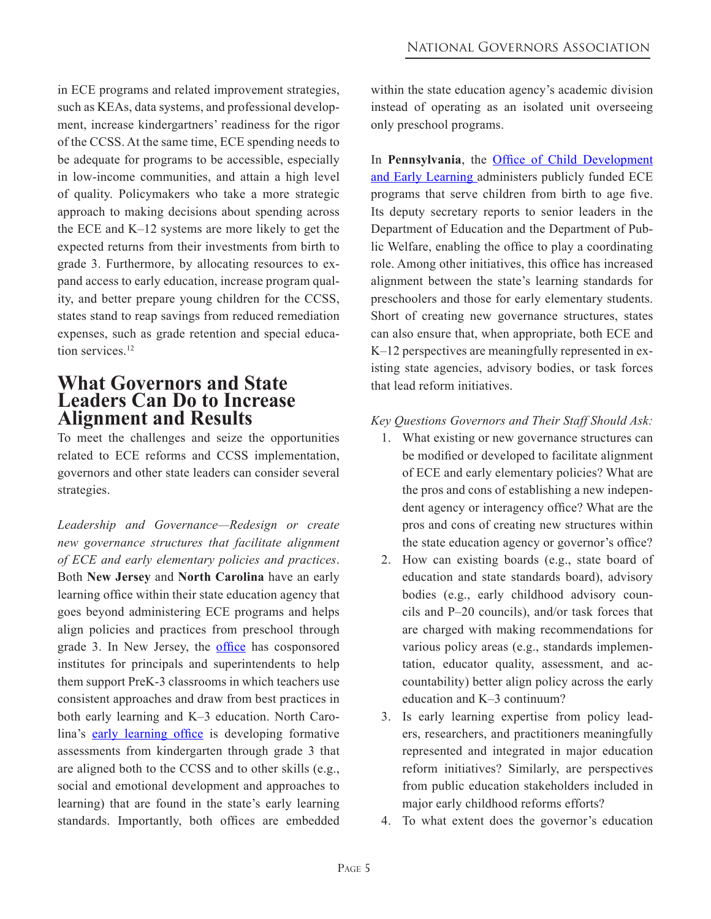in ECE programs and related improvement strategies, such as KEAs, data systems, and professional development, increase kindergartners' readiness for the rigor of the CCSS. At the same time, ECE spending needs to be adequate for programs to be accessible, especially in low-income communities, and attain a high level of quality. Policymakers who take a more strategic approach to making decisions about spending across the ECE and K–12 systems are more likely to get the expected returns from their investments from birth to grade 3. Furthermore, by allocating resources to expand access to early education, increase program quality, and better prepare young children for the CCSS, states stand to reap savings from reduced remediation expenses, such as grade retention and special education services.<sup>12</sup>

#### **What Governors and State Leaders Can Do to Increase Alignment and Results**

To meet the challenges and seize the opportunities related to ECE reforms and CCSS implementation, governors and other state leaders can consider several strategies.

*Leadership and Governance—Redesign or create new governance structures that facilitate alignment of ECE and early elementary policies and practices*. Both **New Jersey** and **North Carolina** have an early learning office within their state education agency that goes beyond administering ECE programs and helps align policies and practices from preschool through grade 3. In New Jersey, the [office](http://www.nj.gov/education/ece/) has cosponsored institutes for principals and superintendents to help them support PreK-3 classrooms in which teachers use consistent approaches and draw from best practices in both early learning and K–3 education. North Carolina's [early learning office](http://www.ncpublicschools.org/earlylearning/) is developing formative assessments from kindergarten through grade 3 that are aligned both to the CCSS and to other skills (e.g., social and emotional development and approaches to learning) that are found in the state's early learning standards. Importantly, both offices are embedded within the state education agency's academic division instead of operating as an isolated unit overseeing only preschool programs.

In **Pennsylvania**, the Office of Child Development [and Early Learning administers publicly funded ECE](http://www.dpw.state.pa.us/dpworganization/officeofchilddevelopmentandearlylearning/index.htm)  programs that serve children from birth to age five. Its deputy secretary reports to senior leaders in the Department of Education and the Department of Public Welfare, enabling the office to play a coordinating role. Among other initiatives, this office has increased alignment between the state's learning standards for preschoolers and those for early elementary students. Short of creating new governance structures, states can also ensure that, when appropriate, both ECE and K–12 perspectives are meaningfully represented in existing state agencies, advisory bodies, or task forces that lead reform initiatives.

#### *Key Questions Governors and Their Staff Should Ask:*

- 1. What existing or new governance structures can be modified or developed to facilitate alignment of ECE and early elementary policies? What are the pros and cons of establishing a new independent agency or interagency office? What are the pros and cons of creating new structures within the state education agency or governor's office?
- 2. How can existing boards (e.g., state board of education and state standards board), advisory bodies (e.g., early childhood advisory councils and P–20 councils), and/or task forces that are charged with making recommendations for various policy areas (e.g., standards implementation, educator quality, assessment, and accountability) better align policy across the early education and K–3 continuum?
- 3. Is early learning expertise from policy leaders, researchers, and practitioners meaningfully represented and integrated in major education reform initiatives? Similarly, are perspectives from public education stakeholders included in major early childhood reforms efforts?
- 4. To what extent does the governor's education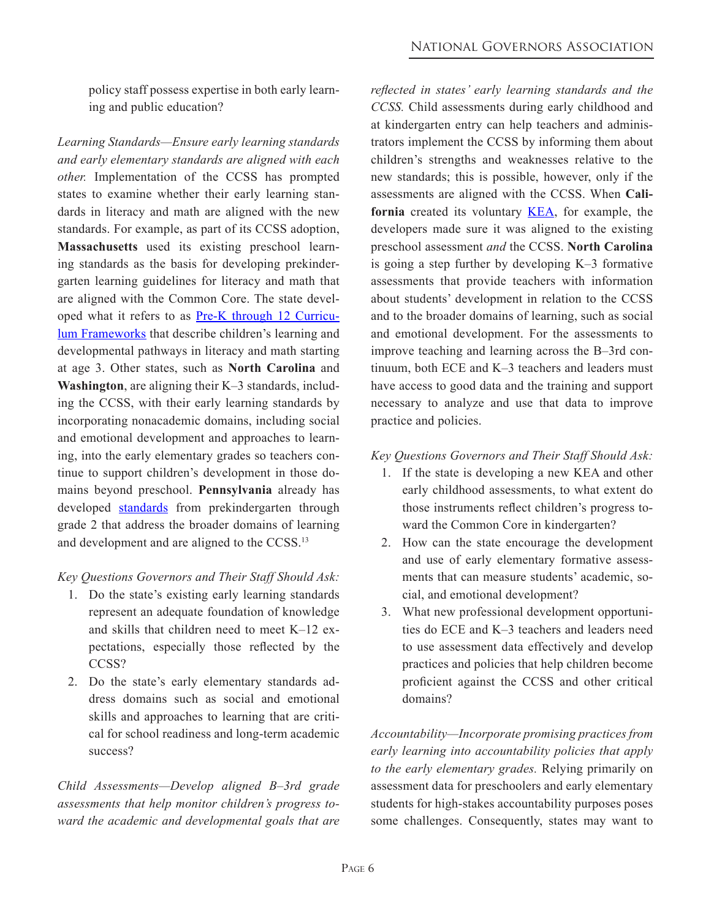policy staff possess expertise in both early learning and public education?

*Learning Standards—Ensure early learning standards and early elementary standards are aligned with each other.* Implementation of the CCSS has prompted states to examine whether their early learning standards in literacy and math are aligned with the new standards. For example, as part of its CCSS adoption, **Massachusetts** used its existing preschool learning standards as the basis for developing prekindergarten learning guidelines for literacy and math that are aligned with the Common Core. The state devel[oped what it refers to as Pre-K through 12 Curricu](http://www.mass.gov/edu/birth-grade-12/early-education-and-care/curriculum-and-learning/)lum Frameworks that describe children's learning and developmental pathways in literacy and math starting at age 3. Other states, such as **North Carolina** and **Washington**, are aligning their K–3 standards, including the CCSS, with their early learning standards by incorporating nonacademic domains, including social and emotional development and approaches to learning, into the early elementary grades so teachers continue to support children's development in those domains beyond preschool. **Pennsylvania** already has developed [standards](http://www.pdesas.org/Standard/StandardsDownloads) from prekindergarten through grade 2 that address the broader domains of learning and development and are aligned to the CCSS.13

#### *Key Questions Governors and Their Staff Should Ask:*

- 1. Do the state's existing early learning standards represent an adequate foundation of knowledge and skills that children need to meet K–12 expectations, especially those reflected by the CCSS?
- 2. Do the state's early elementary standards address domains such as social and emotional skills and approaches to learning that are critical for school readiness and long-term academic success?

*Child Assessments—Develop aligned B–3rd grade assessments that help monitor children's progress toward the academic and developmental goals that are* *reflected in states' early learning standards and the CCSS.* Child assessments during early childhood and at kindergarten entry can help teachers and administrators implement the CCSS by informing them about children's strengths and weaknesses relative to the new standards; this is possible, however, only if the assessments are aligned with the CCSS. When **California** created its voluntary [KEA](http://www.wested.org/desiredresults/training/form_drdpsr.html), for example, the developers made sure it was aligned to the existing preschool assessment *and* the CCSS. **North Carolina** is going a step further by developing K–3 formative assessments that provide teachers with information about students' development in relation to the CCSS and to the broader domains of learning, such as social and emotional development. For the assessments to improve teaching and learning across the B–3rd continuum, both ECE and K–3 teachers and leaders must have access to good data and the training and support necessary to analyze and use that data to improve practice and policies.

#### *Key Questions Governors and Their Staff Should Ask:*

- 1. If the state is developing a new KEA and other early childhood assessments, to what extent do those instruments reflect children's progress toward the Common Core in kindergarten?
- 2. How can the state encourage the development and use of early elementary formative assessments that can measure students' academic, social, and emotional development?
- 3. What new professional development opportunities do ECE and K–3 teachers and leaders need to use assessment data effectively and develop practices and policies that help children become proficient against the CCSS and other critical domains?

*Accountability—Incorporate promising practices from early learning into accountability policies that apply to the early elementary grades.* Relying primarily on assessment data for preschoolers and early elementary students for high-stakes accountability purposes poses some challenges. Consequently, states may want to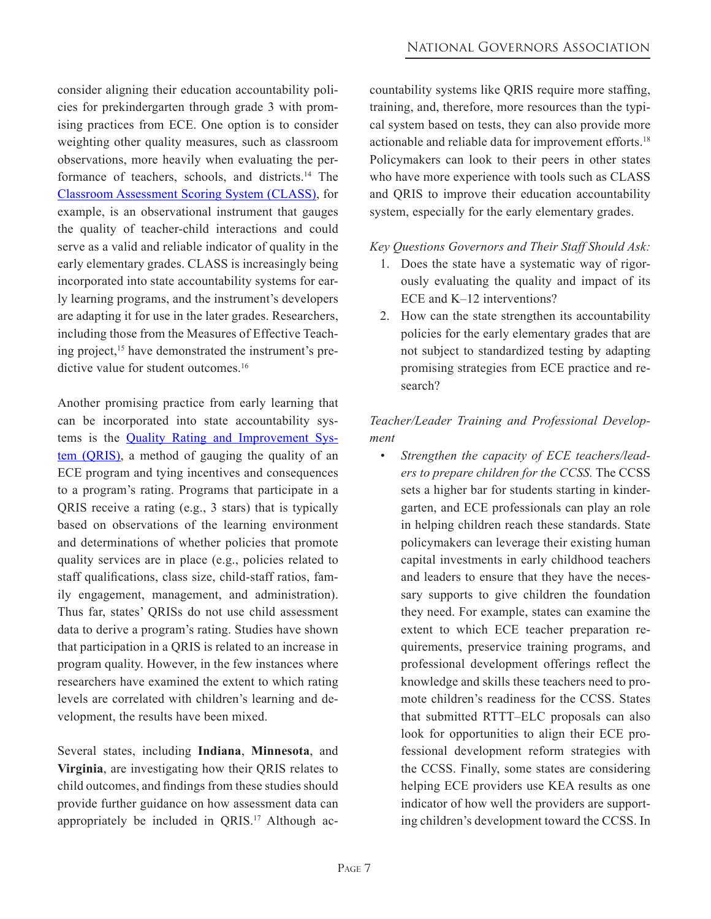consider aligning their education accountability policies for prekindergarten through grade 3 with promising practices from ECE. One option is to consider weighting other quality measures, such as classroom observations, more heavily when evaluating the performance of teachers, schools, and districts.14 The [Classroom Assessment Scoring System \(CLASS\)](http://curry.virginia.edu/research/centers/castl/class), for example, is an observational instrument that gauges the quality of teacher-child interactions and could serve as a valid and reliable indicator of quality in the early elementary grades. CLASS is increasingly being incorporated into state accountability systems for early learning programs, and the instrument's developers are adapting it for use in the later grades. Researchers, including those from the Measures of Effective Teaching project,<sup>15</sup> have demonstrated the instrument's predictive value for student outcomes.<sup>16</sup>

Another promising practice from early learning that can be incorporated into state accountability sys[tems is the Quality Rating and Improvement Sys](http://qrisnetwork.org/)tem (QRIS), a method of gauging the quality of an ECE program and tying incentives and consequences to a program's rating. Programs that participate in a QRIS receive a rating (e.g., 3 stars) that is typically based on observations of the learning environment and determinations of whether policies that promote quality services are in place (e.g., policies related to staff qualifications, class size, child-staff ratios, family engagement, management, and administration). Thus far, states' QRISs do not use child assessment data to derive a program's rating. Studies have shown that participation in a QRIS is related to an increase in program quality. However, in the few instances where researchers have examined the extent to which rating levels are correlated with children's learning and development, the results have been mixed.

Several states, including **Indiana**, **Minnesota**, and **Virginia**, are investigating how their QRIS relates to child outcomes, and findings from these studies should provide further guidance on how assessment data can appropriately be included in QRIS.<sup>17</sup> Although accountability systems like QRIS require more staffing, training, and, therefore, more resources than the typical system based on tests, they can also provide more actionable and reliable data for improvement efforts.18 Policymakers can look to their peers in other states who have more experience with tools such as CLASS and QRIS to improve their education accountability system, especially for the early elementary grades.

#### *Key Questions Governors and Their Staff Should Ask:*

- 1. Does the state have a systematic way of rigorously evaluating the quality and impact of its ECE and K–12 interventions?
- 2. How can the state strengthen its accountability policies for the early elementary grades that are not subject to standardized testing by adapting promising strategies from ECE practice and research?

#### *Teacher/Leader Training and Professional Development*

*• Strengthen the capacity of ECE teachers/leaders to prepare children for the CCSS.* The CCSS sets a higher bar for students starting in kindergarten, and ECE professionals can play an role in helping children reach these standards. State policymakers can leverage their existing human capital investments in early childhood teachers and leaders to ensure that they have the necessary supports to give children the foundation they need. For example, states can examine the extent to which ECE teacher preparation requirements, preservice training programs, and professional development offerings reflect the knowledge and skills these teachers need to promote children's readiness for the CCSS. States that submitted RTTT–ELC proposals can also look for opportunities to align their ECE professional development reform strategies with the CCSS. Finally, some states are considering helping ECE providers use KEA results as one indicator of how well the providers are supporting children's development toward the CCSS. In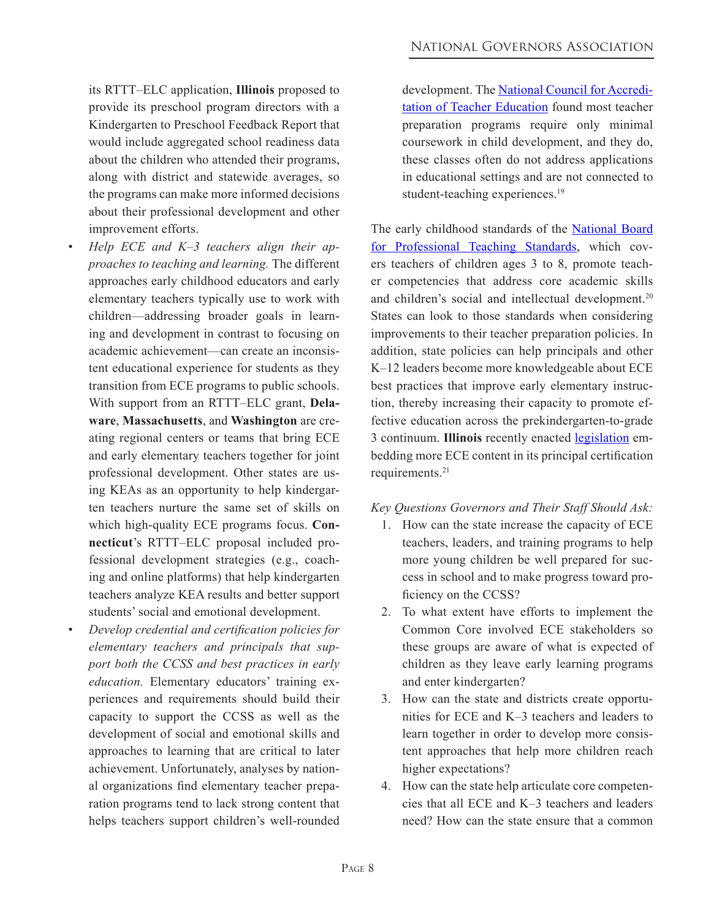its RTTT–ELC application, **Illinois** proposed to provide its preschool program directors with a Kindergarten to Preschool Feedback Report that would include aggregated school readiness data about the children who attended their programs, along with district and statewide averages, so the programs can make more informed decisions about their professional development and other improvement efforts.

- *Help ECE* and *K–3 teachers* align *their* ap*proaches to teaching and learning.* The different approaches early childhood educators and early elementary teachers typically use to work with children—addressing broader goals in learning and development in contrast to focusing on academic achievement—can create an inconsistent educational experience for students as they transition from ECE programs to public schools. With support from an RTTT–ELC grant, **Delaware**, **Massachusetts**, and **Washington** are creating regional centers or teams that bring ECE and early elementary teachers together for joint professional development. Other states are using KEAs as an opportunity to help kindergarten teachers nurture the same set of skills on which high-quality ECE programs focus. **Connecticut**'s RTTT–ELC proposal included professional development strategies (e.g., coaching and online platforms) that help kindergarten teachers analyze KEA results and better support students' social and emotional development.
- *• Develop credential and certification policies for elementary teachers and principals that support both the CCSS and best practices in early education.* Elementary educators' training experiences and requirements should build their capacity to support the CCSS as well as the development of social and emotional skills and approaches to learning that are critical to later achievement. Unfortunately, analyses by national organizations find elementary teacher preparation programs tend to lack strong content that helps teachers support children's well-rounded

[development. The National Council for Accredi](http://www.ncate.org/dotnetnuke/LinkClick.aspx?fileticket=gY3FtiptMSo%3D&tabid=706)tation of Teacher Education found most teacher preparation programs require only minimal coursework in child development, and they do, these classes often do not address applications in educational settings and are not connected to student-teaching experiences.<sup>19</sup>

[The early childhood standards of the National Board](http://www.nbpts.org/userfiles/file/ec_gen_standards5_15_12.pdf)  for Professional Teaching Standards, which covers teachers of children ages 3 to 8, promote teacher competencies that address core academic skills and children's social and intellectual development.<sup>20</sup> States can look to those standards when considering improvements to their teacher preparation policies. In addition, state policies can help principals and other K–12 leaders become more knowledgeable about ECE best practices that improve early elementary instruction, thereby increasing their capacity to promote effective education across the prekindergarten-to-grade 3 continuum. **Illinois** recently enacted [legislation](http://illinoisschoolleader.org/documents/30Code_FINALRULES.pdf) embedding more ECE content in its principal certification requirements.21

#### *Key Questions Governors and Their Staff Should Ask:*

- 1. How can the state increase the capacity of ECE teachers, leaders, and training programs to help more young children be well prepared for success in school and to make progress toward proficiency on the CCSS?
- 2. To what extent have efforts to implement the Common Core involved ECE stakeholders so these groups are aware of what is expected of children as they leave early learning programs and enter kindergarten?
- 3. How can the state and districts create opportunities for ECE and K–3 teachers and leaders to learn together in order to develop more consistent approaches that help more children reach higher expectations?
- 4. How can the state help articulate core competencies that all ECE and K–3 teachers and leaders need? How can the state ensure that a common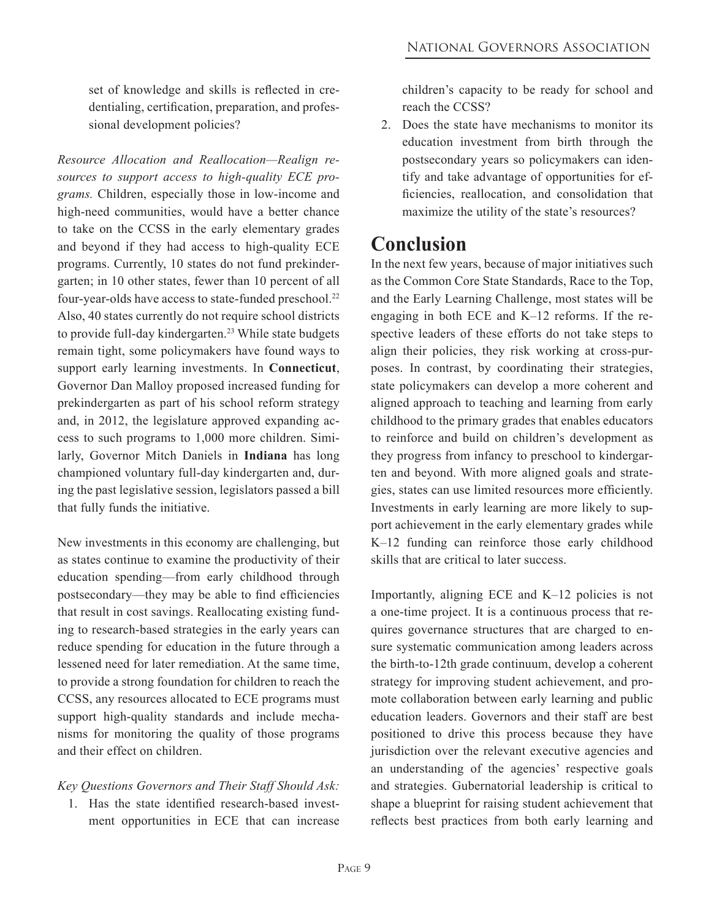set of knowledge and skills is reflected in credentialing, certification, preparation, and professional development policies?

*Resource Allocation and Reallocation—Realign resources to support access to high-quality ECE programs.* Children, especially those in low-income and high-need communities, would have a better chance to take on the CCSS in the early elementary grades and beyond if they had access to high-quality ECE programs. Currently, 10 states do not fund prekindergarten; in 10 other states, fewer than 10 percent of all four-year-olds have access to state-funded preschool.<sup>22</sup> Also, 40 states currently do not require school districts to provide full-day kindergarten.<sup>23</sup> While state budgets remain tight, some policymakers have found ways to support early learning investments. In **Connecticut**, Governor Dan Malloy proposed increased funding for prekindergarten as part of his school reform strategy and, in 2012, the legislature approved expanding access to such programs to 1,000 more children. Similarly, Governor Mitch Daniels in **Indiana** has long championed voluntary full-day kindergarten and, during the past legislative session, legislators passed a bill that fully funds the initiative.

New investments in this economy are challenging, but as states continue to examine the productivity of their education spending—from early childhood through postsecondary—they may be able to find efficiencies that result in cost savings. Reallocating existing funding to research-based strategies in the early years can reduce spending for education in the future through a lessened need for later remediation. At the same time, to provide a strong foundation for children to reach the CCSS, any resources allocated to ECE programs must support high-quality standards and include mechanisms for monitoring the quality of those programs and their effect on children.

#### *Key Questions Governors and Their Staff Should Ask:*

1. Has the state identified research-based investment opportunities in ECE that can increase children's capacity to be ready for school and reach the CCSS?

2. Does the state have mechanisms to monitor its education investment from birth through the postsecondary years so policymakers can identify and take advantage of opportunities for efficiencies, reallocation, and consolidation that maximize the utility of the state's resources?

### **Conclusion**

In the next few years, because of major initiatives such as the Common Core State Standards, Race to the Top, and the Early Learning Challenge, most states will be engaging in both ECE and K–12 reforms. If the respective leaders of these efforts do not take steps to align their policies, they risk working at cross-purposes. In contrast, by coordinating their strategies, state policymakers can develop a more coherent and aligned approach to teaching and learning from early childhood to the primary grades that enables educators to reinforce and build on children's development as they progress from infancy to preschool to kindergarten and beyond. With more aligned goals and strategies, states can use limited resources more efficiently. Investments in early learning are more likely to support achievement in the early elementary grades while K–12 funding can reinforce those early childhood skills that are critical to later success.

Importantly, aligning ECE and K–12 policies is not a one-time project. It is a continuous process that requires governance structures that are charged to ensure systematic communication among leaders across the birth-to-12th grade continuum, develop a coherent strategy for improving student achievement, and promote collaboration between early learning and public education leaders. Governors and their staff are best positioned to drive this process because they have jurisdiction over the relevant executive agencies and an understanding of the agencies' respective goals and strategies. Gubernatorial leadership is critical to shape a blueprint for raising student achievement that reflects best practices from both early learning and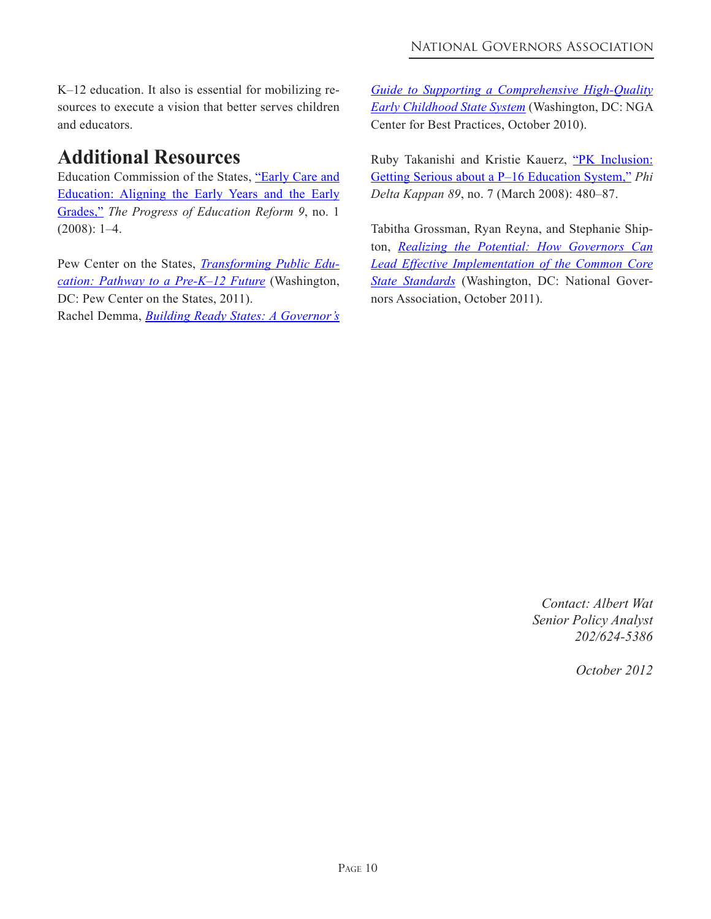K–12 education. It also is essential for mobilizing resources to execute a vision that better serves children and educators.

# **Additional Resources**

[Education Commission of the States, "Early Care and](http://www.ecs.org/clearinghouse/77/68/7768.pdf)  Education: Aligning the Early Years and the Early Grades," *The Progress of Education Reform 9*, no. 1 (2008): 1–4.

[Pew Center on the States,](http://www.pewstates.org/research/reports/transforming-public-education-85899376968) *Transforming Public Education: Pathway to a Pre-K–12 Future* (Washington, DC: Pew Center on the States, 2011). Rachel Demma, *Building Ready States: A [Governor's](http://www.nga.org/files/live/sites/NGA/files/pdf/1010GOVSGUIDEEARLYCHILD.PDF)*

*Guide to Supporting a Comprehensive High-Quality Early Childhood State System* [\(Washington, DC: NGA](http://www.nga.org/files/live/sites/NGA/files/pdf/1010GOVSGUIDEEARLYCHILD.PDF) Center for Best Practices, October 2010).

[Ruby Takanishi and Kristie Kauerz, "PK Inclusion:](http://leadershiplinc.illinoisstate.edu/researchcompendium/documents/PKInclusionGettingSeriousaboutP16.pdf) Getting Serious about a P–16 Education System," *Phi Delta Kappan 89*, no. 7 (March 2008): 480–87.

Tabitha Grossman, Ryan Reyna, and Stephanie Shipton, *Realizing the Potential: How Governors Can Lead Effective Implementation of the Common Core State Standards* [\(Washington, DC: National Gover](http://www.nga.org/files/live/sites/NGA/files/pdf/1110CCSSIIMPLEMENTATIONGUIDE.PDF)nors Association, October 2011).

> *Contact: Albert Wat Senior Policy Analyst 202/624-5386*

> > *October 2012*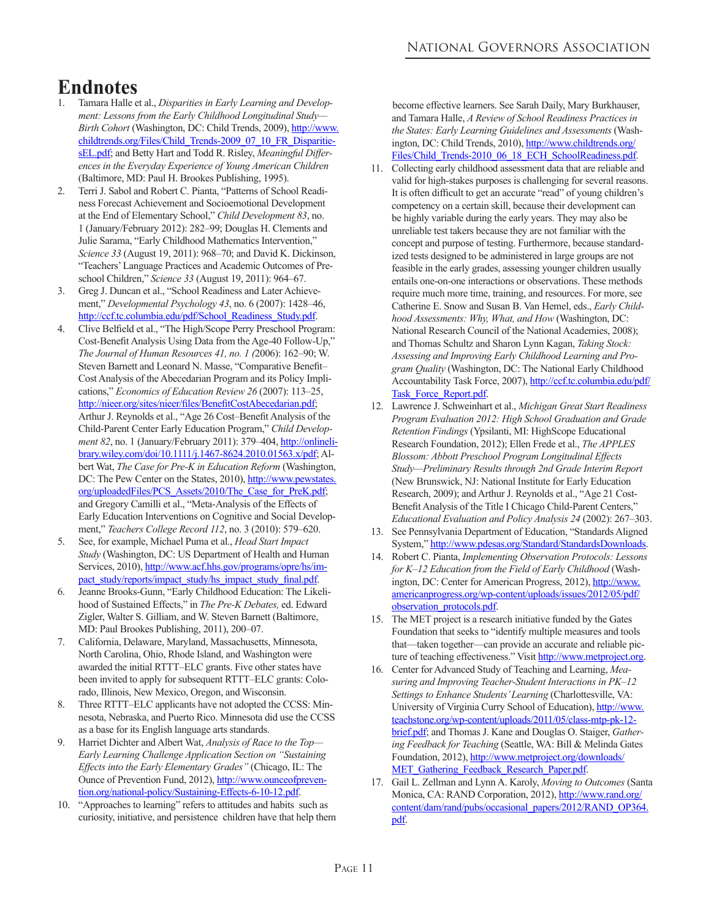# **Endnotes**

- 1. Tamara Halle et al., *Disparities in Early Learning and Development: Lessons from the Early Childhood Longitudinal Study— Birth Cohort* (Washington, DC: Child Trends, 2009), http://www. childtrends.org/Files/Child\_Trends-2009\_07\_10\_FR\_DisparitiesEL.pdf; and Betty Hart and Todd R. Risley, *Meaningful Differences in the Everyday Experience of Young American Children* (Baltimore, MD: Paul H. Brookes Publishing, 1995).
- 2. Terri J. Sabol and Robert C. Pianta, "Patterns of School Readiness Forecast Achievement and Socioemotional Development at the End of Elementary School," *Child Development 83*, no. 1 (January/February 2012): 282–99; Douglas H. Clements and Julie Sarama, "Early Childhood Mathematics Intervention," *Science 33* (August 19, 2011): 968–70; and David K. Dickinson, "Teachers' Language Practices and Academic Outcomes of Preschool Children," *Science 33* (August 19, 2011): 964–67.
- Greg J. Duncan et al., "School Readiness and Later Achievement," *Developmental Psychology 43*, no. 6 (2007): 1428–46, http://ccf.tc.columbia.edu/pdf/School\_Readiness\_Study.pdf.
- 4. Clive Belfield et al., "The High/Scope Perry Preschool Program: Cost-Benefit Analysis Using Data from the Age-40 Follow-Up," *The Journal of Human Resources 41, no. 1 (*2006): 162–90; W. Steven Barnett and Leonard N. Masse, "Comparative Benefit– Cost Analysis of the Abecedarian Program and its Policy Implications," *Economics of Education Review 26* (2007): 113–25, http://nieer.org/sites/nieer/files/BenefitCostAbecedarian.pdf; Arthur J. Reynolds et al., "Age 26 Cost–Benefit Analysis of the Child-Parent Center Early Education Program," *Child Development 82*, no. 1 (January/February 2011): 379–404, http://onlinelibrary.wiley.com/doi/10.1111/j.1467-8624.2010.01563.x/pdf; Albert Wat, *The Case for Pre-K in Education Reform* (Washington, DC: The Pew Center on the States, 2010), http://www.pewstates. org/uploadedFiles/PCS\_Assets/2010/The\_Case\_for\_PreK.pdf; and Gregory Camilli et al., "Meta-Analysis of the Effects of Early Education Interventions on Cognitive and Social Development," *Teachers College Record 112*, no. 3 (2010): 579–620.
- 5. See, for example, Michael Puma et al., *Head Start Impact Study* (Washington, DC: US Department of Health and Human Services, 2010), http://www.acf.hhs.gov/programs/opre/hs/impact\_study/reports/impact\_study/hs\_impact\_study\_final.pdf.
- 6. Jeanne Brooks-Gunn, "Early Childhood Education: The Likelihood of Sustained Effects," in *The Pre-K Debates,* ed. Edward Zigler, Walter S. Gilliam, and W. Steven Barnett (Baltimore, MD: Paul Brookes Publishing, 2011), 200–07.
- 7. California, Delaware, Maryland, Massachusetts, Minnesota, North Carolina, Ohio, Rhode Island, and Washington were awarded the initial RTTT–ELC grants. Five other states have been invited to apply for subsequent RTTT–ELC grants: Colorado, Illinois, New Mexico, Oregon, and Wisconsin.
- 8. Three RTTT–ELC applicants have not adopted the CCSS: Minnesota, Nebraska, and Puerto Rico. Minnesota did use the CCSS as a base for its English language arts standards.
- 9. Harriet Dichter and Albert Wat, *Analysis of Race to the Top— Early Learning Challenge Application Section on "Sustaining Effects into the Early Elementary Grades"* (Chicago, IL: The Ounce of Prevention Fund, 2012), http://www.ounceofprevention.org/national-policy/Sustaining-Effects-6-10-12.pdf.
- 10. "Approaches to learning" refers to attitudes and habits such as curiosity, initiative, and persistence children have that help them

 become effective learners. See Sarah Daily, Mary Burkhauser, and Tamara Halle, *A Review of School Readiness Practices in the States: Early Learning Guidelines and Assessments* (Washington, DC: Child Trends, 2010), http://www.childtrends.org/ Files/Child\_Trends-2010\_06\_18\_ECH\_SchoolReadiness.pdf.

- 11. Collecting early childhood assessment data that are reliable and valid for high-stakes purposes is challenging for several reasons. It is often difficult to get an accurate "read" of young children's competency on a certain skill, because their development can be highly variable during the early years. They may also be unreliable test takers because they are not familiar with the concept and purpose of testing. Furthermore, because standardized tests designed to be administered in large groups are not feasible in the early grades, assessing younger children usually entails one-on-one interactions or observations. These methods require much more time, training, and resources. For more, see Catherine E. Snow and Susan B. Van Hemel, eds., *Early Childhood Assessments: Why, What, and How* (Washington, DC: National Research Council of the National Academies, 2008); and Thomas Schultz and Sharon Lynn Kagan, *Taking Stock: Assessing and Improving Early Childhood Learning and Program Quality* (Washington, DC: The National Early Childhood Accountability Task Force, 2007), http://ccf.tc.columbia.edu/pdf/ Task\_Force\_Report.pdf.
- 12. Lawrence J. Schweinhart et al., *Michigan Great Start Readiness Program Evaluation 2012: High School Graduation and Grade Retention Findings* (Ypsilanti, MI: HighScope Educational Research Foundation, 2012); Ellen Frede et al., *The APPLES Blossom: Abbott Preschool Program Longitudinal Effects Study—Preliminary Results through 2nd Grade Interim Report* (New Brunswick, NJ: National Institute for Early Education Research, 2009); and Arthur J. Reynolds et al., "Age 21 Cost-Benefit Analysis of the Title I Chicago Child-Parent Centers," *Educational Evaluation and Policy Analysis 24* (2002): 267–303.
- 13. See Pennsylvania Department of Education, "Standards Aligned System," http://www.pdesas.org/Standard/StandardsDownloads.
- 14. Robert C. Pianta, *Implementing Observation Protocols: Lessons for K–12 Education from the Field of Early Childhood* (Washington, DC: Center for American Progress, 2012), http://www. americanprogress.org/wp-content/uploads/issues/2012/05/pdf/ observation\_protocols.pdf.
- 15. The MET project is a research initiative funded by the Gates Foundation that seeks to "identify multiple measures and tools that—taken together—can provide an accurate and reliable picture of teaching effectiveness." Visit http://www.metproject.org.
- 16. Center for Advanced Study of Teaching and Learning, *Measuring and Improving Teacher-Student Interactions in PK–12 Settings to Enhance Students'Learning* (Charlottesville, VA: University of Virginia Curry School of Education), http://www. teachstone.org/wp-content/uploads/2011/05/class-mtp-pk-12 brief.pdf; and Thomas J. Kane and Douglas O. Staiger, *Gathering Feedback for Teaching* (Seattle, WA: Bill & Melinda Gates Foundation, 2012), http://www.metproject.org/downloads/ MET\_Gathering\_Feedback\_Research\_Paper.pdf.
- 17. Gail L. Zellman and Lynn A. Karoly, *Moving to Outcomes* (Santa Monica, CA: RAND Corporation, 2012), http://www.rand.org/ content/dam/rand/pubs/occasional\_papers/2012/RAND\_OP364. pdf.